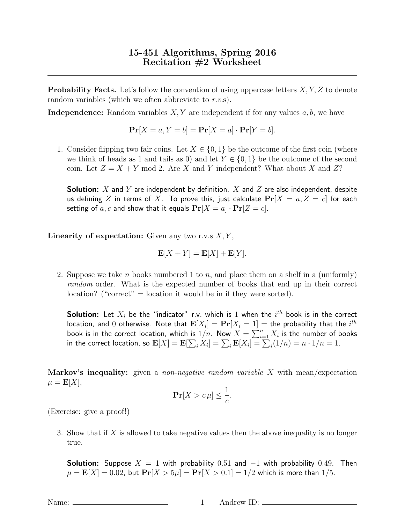**Probability Facts.** Let's follow the convention of using uppercase letters  $X, Y, Z$  to denote random variables (which we often abbreviate to r.v.s).

**Independence:** Random variables  $X, Y$  are independent if for any values  $a, b$ , we have

$$
\mathbf{Pr}[X = a, Y = b] = \mathbf{Pr}[X = a] \cdot \mathbf{Pr}[Y = b].
$$

1. Consider flipping two fair coins. Let  $X \in \{0,1\}$  be the outcome of the first coin (where we think of heads as 1 and tails as 0) and let  $Y \in \{0,1\}$  be the outcome of the second coin. Let  $Z = X + Y$  mod 2. Are X and Y independent? What about X and Z?

**Solution:** X and Y are independent by definition. X and Z are also independent, despite us defining Z in terms of X. To prove this, just calculate  $\Pr[X = a, Z = c]$  for each setting of a, c and show that it equals  $Pr[X = a] \cdot Pr[Z = c]$ .

**Linearity of expectation:** Given any two r.v.s  $X, Y$ ,

$$
\mathbf{E}[X+Y] = \mathbf{E}[X] + \mathbf{E}[Y].
$$

2. Suppose we take n books numbered 1 to n, and place them on a shelf in a (uniformly) random order. What is the expected number of books that end up in their correct location? ("correct"  $=$  location it would be in if they were sorted).

**Solution:** Let  $X_i$  be the "indicator" r.v. which is  $1$  when the  $i^{th}$  book is in the correct location, and  $0$  otherwise. Note that  $\mathbf{E}[X_i] = \mathbf{Pr}[X_i = 1] =$  the probability that the  $i^{th}$ book is in the correct location, which is  $1/n$ . Now  $X = \sum_{i=1}^n X_i$  is the number of books in the correct location, so  $\mathbf{E}[X]=\mathbf{E}[\sum_i X_i]=\sum_i \mathbf{E}[X_i]=\sum_i (1/n)=n\cdot 1/n=1.$ 

**Markov's inequality:** given a *non-negative random variable X* with mean/expectation  $\mu = \mathbf{E}[X],$ 

$$
\mathbf{Pr}[X > c\,\mu] \le \frac{1}{c}.
$$

(Exercise: give a proof!)

3. Show that if  $X$  is allowed to take negative values then the above inequality is no longer true.

**Solution:** Suppose  $X = 1$  with probability 0.51 and  $-1$  with probability 0.49. Then  $\mu = \mathbf{E}[X] = 0.02$ , but  $\Pr[X > 5\mu] = \Pr[X > 0.1] = 1/2$  which is more than 1/5.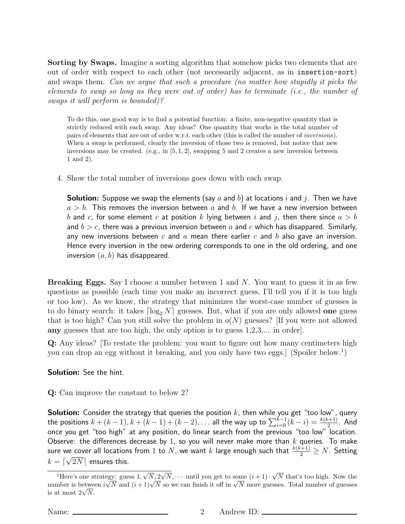Sorting by Swaps. Imagine a sorting algorithm that somehow picks two elements that are out of order with respect to each other (not necessarily adjacent, as in insertion-sort) and swaps them. Can we argue that such a procedure (no matter how stupidly it picks the elements to swap so long as they were out of order) has to terminate (i.e., the number of swaps it will perform is bounded)?

To do this, one good way is to find a potential function: a finite, non-negative quantity that is strictly reduced with each swap. Any ideas? One quantity that works is the total number of pairs of elements that are out of order w.r.t. each other (this is called the number of inversions). When a swap is performed, clearly the inversion of those two is removed, but notice that new inversions may be created. (e.g., in  $[5, 1, 2]$ , swapping 5 and 2 creates a new inversion between 1 and 2).

4. Show the total number of inversions goes down with each swap.

**Solution:** Suppose we swap the elements (say a and b) at locations i and j. Then we have  $a > b$ . This removes the inversion between a and b. If we have a new inversion between b and c, for some element c at position k lying between i and j, then there since  $a > b$ and  $b > c$ , there was a previous inversion between a and c which has disappared. Similarly, any new inversions between  $c$  and  $a$  mean there earlier  $c$  and  $b$  also gave an inversion. Hence every inversion in the new ordering corresponds to one in the old ordering, and one inversion  $(a, b)$  has disappeared.

Breaking Eggs. Say I choose a number between 1 and N. You want to guess it in as few questions as possible (each time you make an incorrect guess, I'll tell you if it is too high or too low). As we know, the strategy that minimizes the worst-case number of guesses is to do binary search: it takes  $\lceil \log_2 N \rceil$  guesses. But, what if you are only allowed one guess that is too high? Can you still solve the problem in  $o(N)$  guesses? [If you were not allowed any guesses that are too high, the only option is to guess 1,2,3,... in order].

Q: Any ideas? [To restate the problem: you want to figure out how many centimeters high you can drop an egg without it breaking, and you only have two eggs. (Spoiler below.<sup>1</sup>)

Solution: See the hint.

Q: Can improve the constant to below 2?

 ${\sf Solution}\colon$  Consider the strategy that queries the position  $k$ , then while you get "too low", query the positions  $k + (k-1), k + (k-1) + (k-2), \ldots$  all the way up to  $\sum_{i=0}^{k-1} (k-i) = \frac{k(k+1)}{2}.$  And once you get "too high" at any position, do linear search from the previous "too low" location. Observe: the differences decrease by 1, so you will never make more than  $k$  queries. To make sure we cover all locations from  $1$  to  $N$ , we want  $k$  large enough such that  $\frac{k(k+1)}{2} \geq N$ . Setting  $k = \lceil \sqrt{2N} \rceil$  ensures this.

<sup>&</sup>lt;sup>1</sup>Here's one strategy: guess  $1, \sqrt$  $N, 2$ √  $N, \cdots$  until you get to some  $(i + 1) \cdot$ √ egy: guess  $1, \sqrt{N}, 2\sqrt{N}, \cdots$  until you get to some  $(i+1) \cdot \sqrt{N}$  that's too high. Now the Here's one strategy: guess  $1, \sqrt{N}, \sqrt{2} \sqrt{N}, \cdots$  until you get to some  $(i + 1) \cdot \sqrt{N}$  that s too high. Now the number is between  $i\sqrt{N}$  and  $(i + 1)\sqrt{N}$  so we can finish it off in  $\sqrt{N}$  more guesses. Total number of g number is between<br>is at most  $2\sqrt{N}$ .